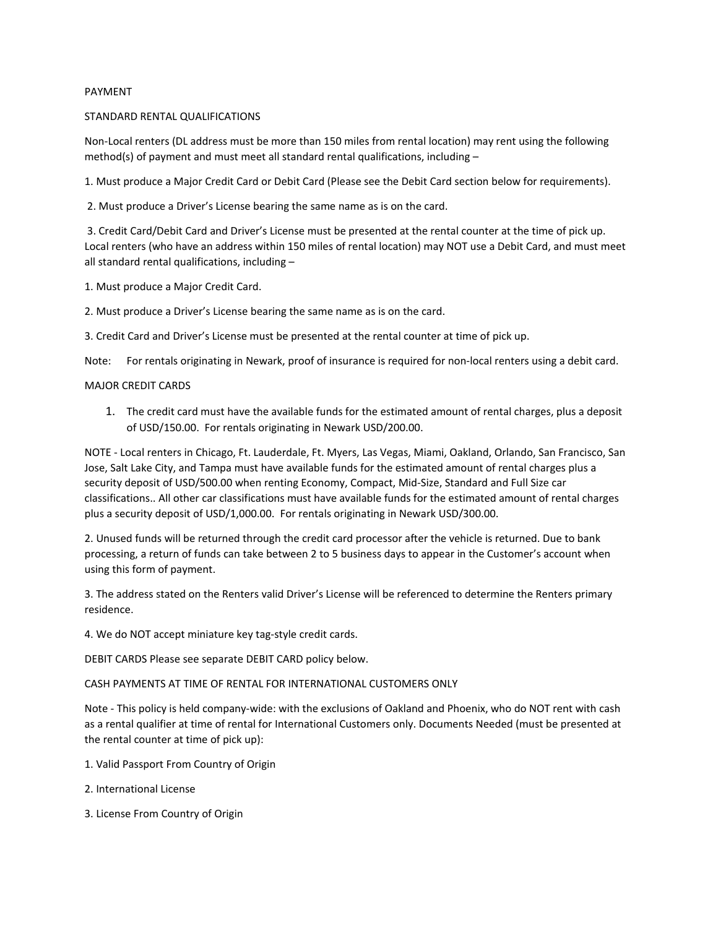## PAYMENT

### STANDARD RENTAL QUALIFICATIONS

Non-Local renters (DL address must be more than 150 miles from rental location) may rent using the following method(s) of payment and must meet all standard rental qualifications, including  $-$ 

1. Must produce a Major Credit Card or Debit Card (Please see the Debit Card section below for requirements).

2. Must produce a Driver's License bearing the same name as is on the card.

 3. Credit Card/Debit Card and Driver's License must be presented at the rental counter at the time of pick up. Local renters (who have an address within 150 miles of rental location) may NOT use a Debit Card, and must meet all standard rental qualifications, including –

1. Must produce a Major Credit Card.

2. Must produce a Driver's License bearing the same name as is on the card.

3. Credit Card and Driver's License must be presented at the rental counter at time of pick up.

Note: For rentals originating in Newark, proof of insurance is required for non-local renters using a debit card.

### MAJOR CREDIT CARDS

1. The credit card must have the available funds for the estimated amount of rental charges, plus a deposit of USD/150.00. For rentals originating in Newark USD/200.00.

NOTE - Local renters in Chicago, Ft. Lauderdale, Ft. Myers, Las Vegas, Miami, Oakland, Orlando, San Francisco, San Jose, Salt Lake City, and Tampa must have available funds for the estimated amount of rental charges plus a security deposit of USD/500.00 when renting Economy, Compact, Mid-Size, Standard and Full Size car classifications.. All other car classifications must have available funds for the estimated amount of rental charges plus a security deposit of USD/1,000.00. For rentals originating in Newark USD/300.00.

2. Unused funds will be returned through the credit card processor after the vehicle is returned. Due to bank processing, a return of funds can take between 2 to 5 business days to appear in the Customer's account when using this form of payment.

3. The address stated on the Renters valid Driver's License will be referenced to determine the Renters primary residence.

4. We do NOT accept miniature key tag-style credit cards.

DEBIT CARDS Please see separate DEBIT CARD policy below.

CASH PAYMENTS AT TIME OF RENTAL FOR INTERNATIONAL CUSTOMERS ONLY

Note - This policy is held company-wide: with the exclusions of Oakland and Phoenix, who do NOT rent with cash as a rental qualifier at time of rental for International Customers only. Documents Needed (must be presented at the rental counter at time of pick up):

- 1. Valid Passport From Country of Origin
- 2. International License
- 3. License From Country of Origin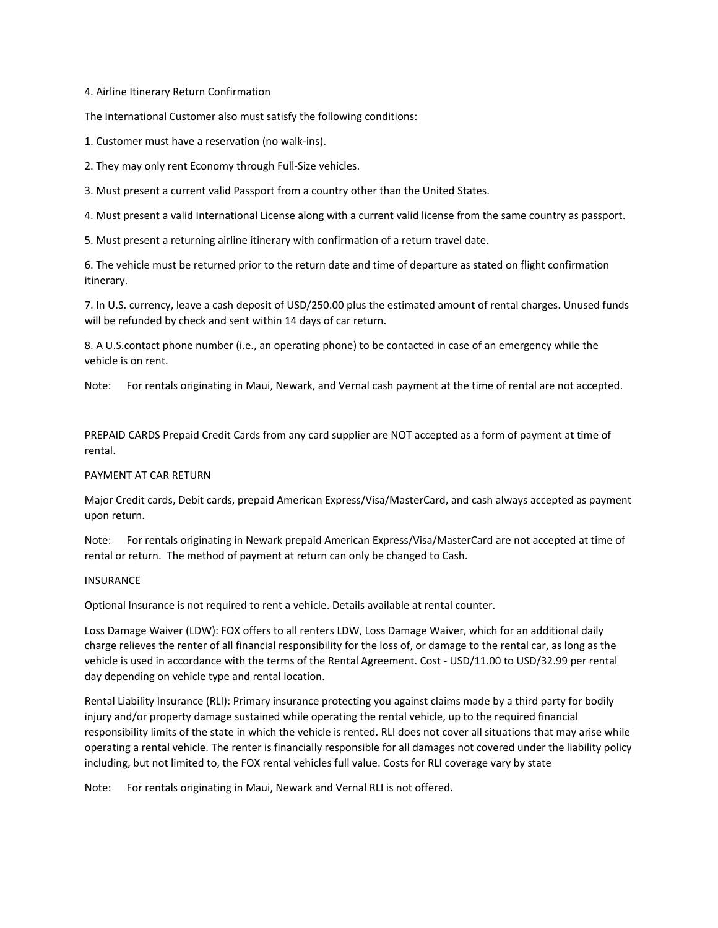4. Airline Itinerary Return Confirmation

The International Customer also must satisfy the following conditions:

1. Customer must have a reservation (no walk-ins).

2. They may only rent Economy through Full-Size vehicles.

3. Must present a current valid Passport from a country other than the United States.

4. Must present a valid International License along with a current valid license from the same country as passport.

5. Must present a returning airline itinerary with confirmation of a return travel date.

6. The vehicle must be returned prior to the return date and time of departure as stated on flight confirmation itinerary.

7. In U.S. currency, leave a cash deposit of USD/250.00 plus the estimated amount of rental charges. Unused funds will be refunded by check and sent within 14 days of car return.

8. A U.S.contact phone number (i.e., an operating phone) to be contacted in case of an emergency while the vehicle is on rent.

Note: For rentals originating in Maui, Newark, and Vernal cash payment at the time of rental are not accepted.

PREPAID CARDS Prepaid Credit Cards from any card supplier are NOT accepted as a form of payment at time of rental.

## PAYMENT AT CAR RETURN

Major Credit cards, Debit cards, prepaid American Express/Visa/MasterCard, and cash always accepted as payment upon return.

Note: For rentals originating in Newark prepaid American Express/Visa/MasterCard are not accepted at time of rental or return. The method of payment at return can only be changed to Cash.

#### **INSURANCE**

Optional Insurance is not required to rent a vehicle. Details available at rental counter.

Loss Damage Waiver (LDW): FOX offers to all renters LDW, Loss Damage Waiver, which for an additional daily charge relieves the renter of all financial responsibility for the loss of, or damage to the rental car, as long as the vehicle is used in accordance with the terms of the Rental Agreement. Cost - USD/11.00 to USD/32.99 per rental day depending on vehicle type and rental location.

Rental Liability Insurance (RLI): Primary insurance protecting you against claims made by a third party for bodily injury and/or property damage sustained while operating the rental vehicle, up to the required financial responsibility limits of the state in which the vehicle is rented. RLI does not cover all situations that may arise while operating a rental vehicle. The renter is financially responsible for all damages not covered under the liability policy including, but not limited to, the FOX rental vehicles full value. Costs for RLI coverage vary by state

Note: For rentals originating in Maui, Newark and Vernal RLI is not offered.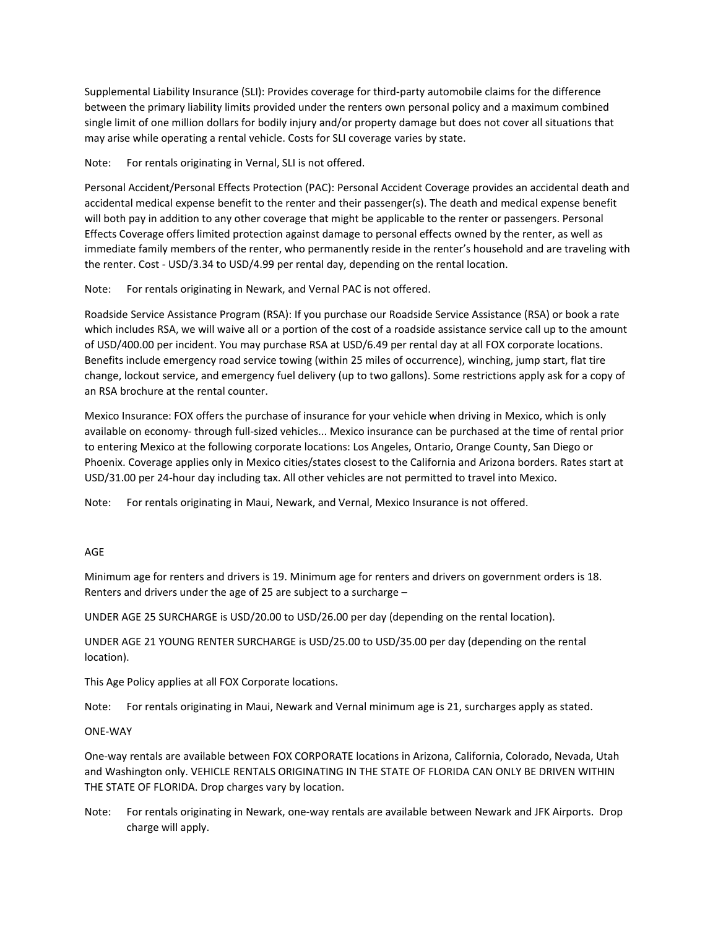Supplemental Liability Insurance (SLI): Provides coverage for third-party automobile claims for the difference between the primary liability limits provided under the renters own personal policy and a maximum combined single limit of one million dollars for bodily injury and/or property damage but does not cover all situations that may arise while operating a rental vehicle. Costs for SLI coverage varies by state.

Note: For rentals originating in Vernal, SLI is not offered.

Personal Accident/Personal Effects Protection (PAC): Personal Accident Coverage provides an accidental death and accidental medical expense benefit to the renter and their passenger(s). The death and medical expense benefit will both pay in addition to any other coverage that might be applicable to the renter or passengers. Personal Effects Coverage offers limited protection against damage to personal effects owned by the renter, as well as immediate family members of the renter, who permanently reside in the renter's household and are traveling with the renter. Cost - USD/3.34 to USD/4.99 per rental day, depending on the rental location.

Note: For rentals originating in Newark, and Vernal PAC is not offered.

Roadside Service Assistance Program (RSA): If you purchase our Roadside Service Assistance (RSA) or book a rate which includes RSA, we will waive all or a portion of the cost of a roadside assistance service call up to the amount of USD/400.00 per incident. You may purchase RSA at USD/6.49 per rental day at all FOX corporate locations. Benefits include emergency road service towing (within 25 miles of occurrence), winching, jump start, flat tire change, lockout service, and emergency fuel delivery (up to two gallons). Some restrictions apply ask for a copy of an RSA brochure at the rental counter.

Mexico Insurance: FOX offers the purchase of insurance for your vehicle when driving in Mexico, which is only available on economy- through full-sized vehicles... Mexico insurance can be purchased at the time of rental prior to entering Mexico at the following corporate locations: Los Angeles, Ontario, Orange County, San Diego or Phoenix. Coverage applies only in Mexico cities/states closest to the California and Arizona borders. Rates start at USD/31.00 per 24-hour day including tax. All other vehicles are not permitted to travel into Mexico.

Note: For rentals originating in Maui, Newark, and Vernal, Mexico Insurance is not offered.

## AGE

Minimum age for renters and drivers is 19. Minimum age for renters and drivers on government orders is 18. Renters and drivers under the age of 25 are subject to a surcharge –

UNDER AGE 25 SURCHARGE is USD/20.00 to USD/26.00 per day (depending on the rental location).

UNDER AGE 21 YOUNG RENTER SURCHARGE is USD/25.00 to USD/35.00 per day (depending on the rental location).

This Age Policy applies at all FOX Corporate locations.

Note: For rentals originating in Maui, Newark and Vernal minimum age is 21, surcharges apply as stated.

## ONE-WAY

One-way rentals are available between FOX CORPORATE locations in Arizona, California, Colorado, Nevada, Utah and Washington only. VEHICLE RENTALS ORIGINATING IN THE STATE OF FLORIDA CAN ONLY BE DRIVEN WITHIN THE STATE OF FLORIDA. Drop charges vary by location.

Note: For rentals originating in Newark, one-way rentals are available between Newark and JFK Airports. Drop charge will apply.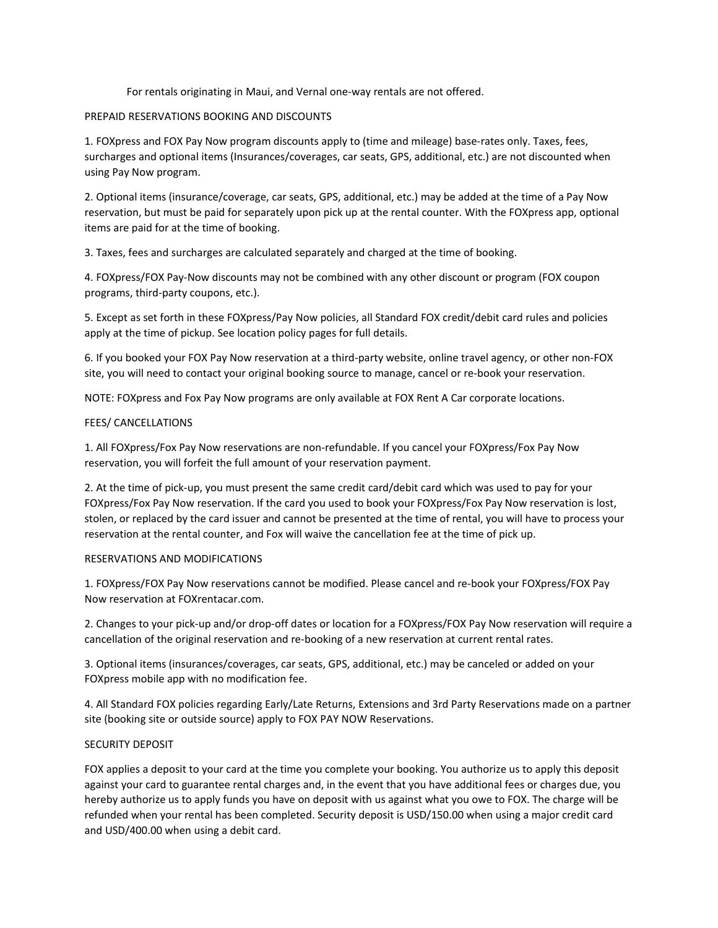For rentals originating in Maui, and Vernal one-way rentals are not offered.

## PREPAID RESERVATIONS BOOKING AND DISCOUNTS

1. FOXpress and FOX Pay Now program discounts apply to (time and mileage) base-rates only. Taxes, fees, surcharges and optional items (Insurances/coverages, car seats, GPS, additional, etc.) are not discounted when using Pay Now program.

2. Optional items (insurance/coverage, car seats, GPS, additional, etc.) may be added at the time of a Pay Now reservation, but must be paid for separately upon pick up at the rental counter. With the FOXpress app, optional items are paid for at the time of booking.

3. Taxes, fees and surcharges are calculated separately and charged at the time of booking.

4. FOXpress/FOX Pay-Now discounts may not be combined with any other discount or program (FOX coupon programs, third-party coupons, etc.).

5. Except as set forth in these FOXpress/Pay Now policies, all Standard FOX credit/debit card rules and policies apply at the time of pickup. See location policy pages for full details.

6. If you booked your FOX Pay Now reservation at a third-party website, online travel agency, or other non-FOX site, you will need to contact your original booking source to manage, cancel or re-book your reservation.

NOTE: FOXpress and Fox Pay Now programs are only available at FOX Rent A Car corporate locations.

## FEES/ CANCELLATIONS

1. All FOXpress/Fox Pay Now reservations are non-refundable. If you cancel your FOXpress/Fox Pay Now reservation, you will forfeit the full amount of your reservation payment.

2. At the time of pick-up, you must present the same credit card/debit card which was used to pay for your FOXpress/Fox Pay Now reservation. If the card you used to book your FOXpress/Fox Pay Now reservation is lost, stolen, or replaced by the card issuer and cannot be presented at the time of rental, you will have to process your reservation at the rental counter, and Fox will waive the cancellation fee at the time of pick up.

## RESERVATIONS AND MODIFICATIONS

1. FOXpress/FOX Pay Now reservations cannot be modified. Please cancel and re-book your FOXpress/FOX Pay Now reservation at FOXrentacar.com.

2. Changes to your pick-up and/or drop-off dates or location for a FOXpress/FOX Pay Now reservation will require a cancellation of the original reservation and re-booking of a new reservation at current rental rates.

3. Optional items (insurances/coverages, car seats, GPS, additional, etc.) may be canceled or added on your FOXpress mobile app with no modification fee.

4. All Standard FOX policies regarding Early/Late Returns, Extensions and 3rd Party Reservations made on a partner site (booking site or outside source) apply to FOX PAY NOW Reservations.

# SECURITY DEPOSIT

FOX applies a deposit to your card at the time you complete your booking. You authorize us to apply this deposit against your card to guarantee rental charges and, in the event that you have additional fees or charges due, you hereby authorize us to apply funds you have on deposit with us against what you owe to FOX. The charge will be refunded when your rental has been completed. Security deposit is USD/150.00 when using a major credit card and USD/400.00 when using a debit card.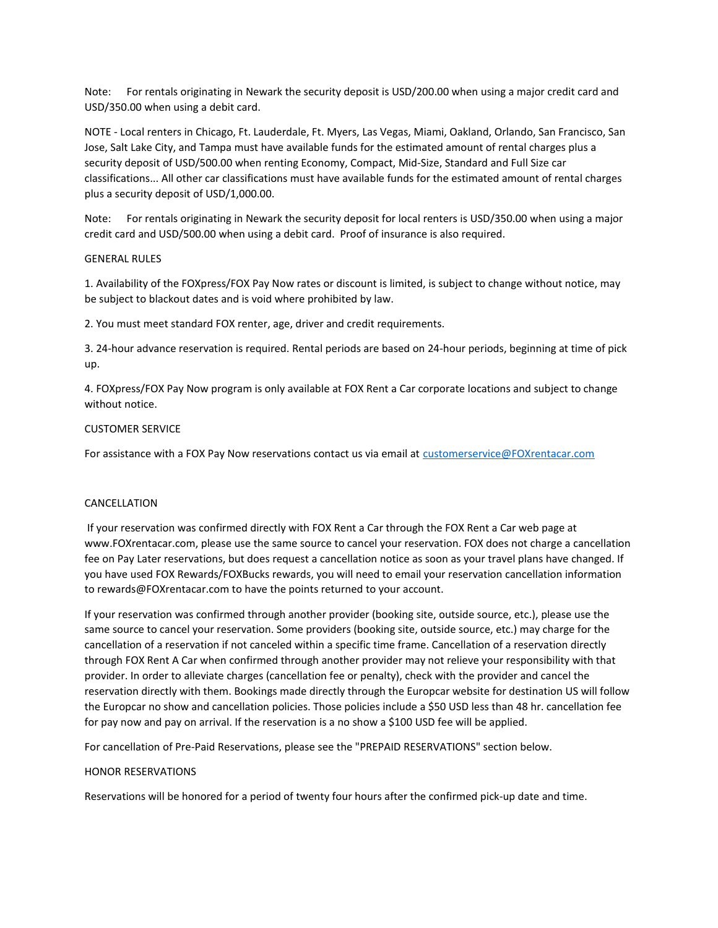Note: For rentals originating in Newark the security deposit is USD/200.00 when using a major credit card and USD/350.00 when using a debit card.

NOTE - Local renters in Chicago, Ft. Lauderdale, Ft. Myers, Las Vegas, Miami, Oakland, Orlando, San Francisco, San Jose, Salt Lake City, and Tampa must have available funds for the estimated amount of rental charges plus a security deposit of USD/500.00 when renting Economy, Compact, Mid-Size, Standard and Full Size car classifications... All other car classifications must have available funds for the estimated amount of rental charges plus a security deposit of USD/1,000.00.

Note: For rentals originating in Newark the security deposit for local renters is USD/350.00 when using a major credit card and USD/500.00 when using a debit card. Proof of insurance is also required.

## GENERAL RULES

1. Availability of the FOXpress/FOX Pay Now rates or discount is limited, is subject to change without notice, may be subject to blackout dates and is void where prohibited by law.

2. You must meet standard FOX renter, age, driver and credit requirements.

3. 24-hour advance reservation is required. Rental periods are based on 24-hour periods, beginning at time of pick up.

4. FOXpress/FOX Pay Now program is only available at FOX Rent a Car corporate locations and subject to change without notice.

#### CUSTOMER SERVICE

For assistance with a FOX Pay Now reservations contact us via email at [customerservice@FOXrentacar.com](mailto:customerservice@FOXrentacar.com)

## CANCELLATION

 If your reservation was confirmed directly with FOX Rent a Car through the FOX Rent a Car web page at www.FOXrentacar.com, please use the same source to cancel your reservation. FOX does not charge a cancellation fee on Pay Later reservations, but does request a cancellation notice as soon as your travel plans have changed. If you have used FOX Rewards/FOXBucks rewards, you will need to email your reservation cancellation information to rewards@FOXrentacar.com to have the points returned to your account.

If your reservation was confirmed through another provider (booking site, outside source, etc.), please use the same source to cancel your reservation. Some providers (booking site, outside source, etc.) may charge for the cancellation of a reservation if not canceled within a specific time frame. Cancellation of a reservation directly through FOX Rent A Car when confirmed through another provider may not relieve your responsibility with that provider. In order to alleviate charges (cancellation fee or penalty), check with the provider and cancel the reservation directly with them. Bookings made directly through the Europcar website for destination US will follow the Europcar no show and cancellation policies. Those policies include a \$50 USD less than 48 hr. cancellation fee for pay now and pay on arrival. If the reservation is a no show a \$100 USD fee will be applied.

For cancellation of Pre-Paid Reservations, please see the "PREPAID RESERVATIONS" section below.

#### HONOR RESERVATIONS

Reservations will be honored for a period of twenty four hours after the confirmed pick-up date and time.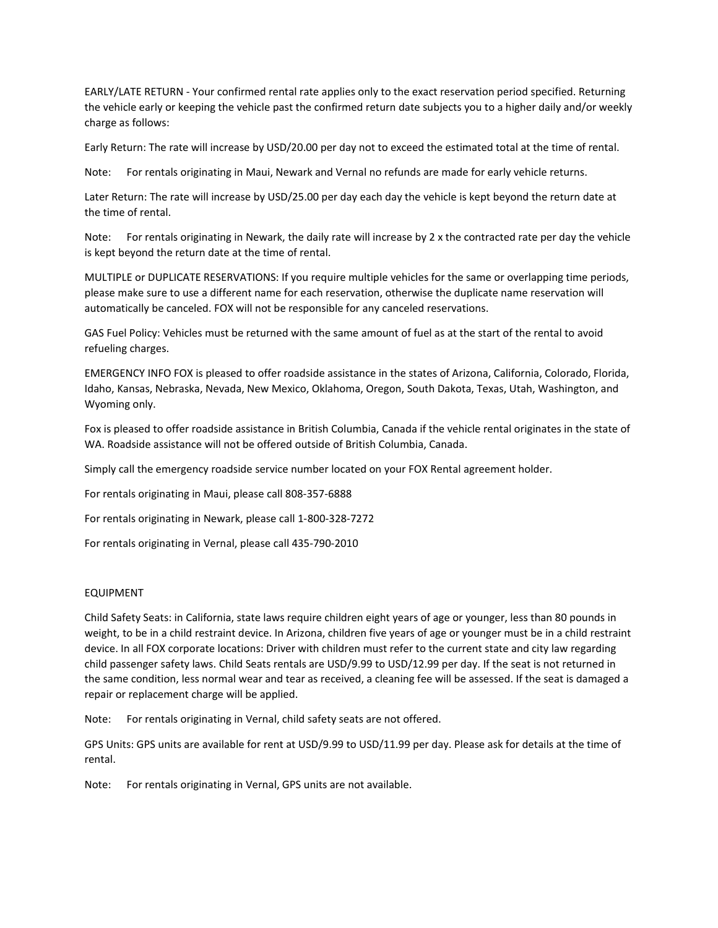EARLY/LATE RETURN - Your confirmed rental rate applies only to the exact reservation period specified. Returning the vehicle early or keeping the vehicle past the confirmed return date subjects you to a higher daily and/or weekly charge as follows:

Early Return: The rate will increase by USD/20.00 per day not to exceed the estimated total at the time of rental.

Note: For rentals originating in Maui, Newark and Vernal no refunds are made for early vehicle returns.

Later Return: The rate will increase by USD/25.00 per day each day the vehicle is kept beyond the return date at the time of rental.

Note: For rentals originating in Newark, the daily rate will increase by 2 x the contracted rate per day the vehicle is kept beyond the return date at the time of rental.

MULTIPLE or DUPLICATE RESERVATIONS: If you require multiple vehicles for the same or overlapping time periods, please make sure to use a different name for each reservation, otherwise the duplicate name reservation will automatically be canceled. FOX will not be responsible for any canceled reservations.

GAS Fuel Policy: Vehicles must be returned with the same amount of fuel as at the start of the rental to avoid refueling charges.

EMERGENCY INFO FOX is pleased to offer roadside assistance in the states of Arizona, California, Colorado, Florida, Idaho, Kansas, Nebraska, Nevada, New Mexico, Oklahoma, Oregon, South Dakota, Texas, Utah, Washington, and Wyoming only.

Fox is pleased to offer roadside assistance in British Columbia, Canada if the vehicle rental originates in the state of WA. Roadside assistance will not be offered outside of British Columbia, Canada.

Simply call the emergency roadside service number located on your FOX Rental agreement holder.

For rentals originating in Maui, please call 808-357-6888

For rentals originating in Newark, please call 1[-800-328-7272](dialpad://800-328-7272)

For rentals originating in Vernal, please call 435-790-2010

## EQUIPMENT

Child Safety Seats: in California, state laws require children eight years of age or younger, less than 80 pounds in weight, to be in a child restraint device. In Arizona, children five years of age or younger must be in a child restraint device. In all FOX corporate locations: Driver with children must refer to the current state and city law regarding child passenger safety laws. Child Seats rentals are USD/9.99 to USD/12.99 per day. If the seat is not returned in the same condition, less normal wear and tear as received, a cleaning fee will be assessed. If the seat is damaged a repair or replacement charge will be applied.

Note: For rentals originating in Vernal, child safety seats are not offered.

GPS Units: GPS units are available for rent at USD/9.99 to USD/11.99 per day. Please ask for details at the time of rental.

Note: For rentals originating in Vernal, GPS units are not available.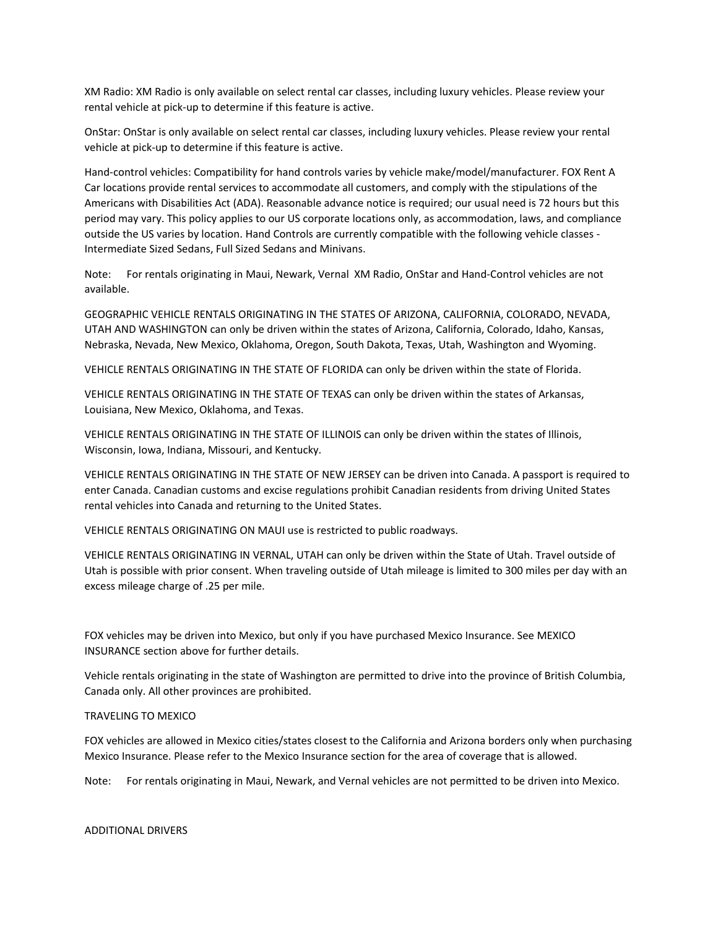XM Radio: XM Radio is only available on select rental car classes, including luxury vehicles. Please review your rental vehicle at pick-up to determine if this feature is active.

OnStar: OnStar is only available on select rental car classes, including luxury vehicles. Please review your rental vehicle at pick-up to determine if this feature is active.

Hand-control vehicles: Compatibility for hand controls varies by vehicle make/model/manufacturer. FOX Rent A Car locations provide rental services to accommodate all customers, and comply with the stipulations of the Americans with Disabilities Act (ADA). Reasonable advance notice is required; our usual need is 72 hours but this period may vary. This policy applies to our US corporate locations only, as accommodation, laws, and compliance outside the US varies by location. Hand Controls are currently compatible with the following vehicle classes - Intermediate Sized Sedans, Full Sized Sedans and Minivans.

Note: For rentals originating in Maui, Newark, Vernal XM Radio, OnStar and Hand-Control vehicles are not available.

GEOGRAPHIC VEHICLE RENTALS ORIGINATING IN THE STATES OF ARIZONA, CALIFORNIA, COLORADO, NEVADA, UTAH AND WASHINGTON can only be driven within the states of Arizona, California, Colorado, Idaho, Kansas, Nebraska, Nevada, New Mexico, Oklahoma, Oregon, South Dakota, Texas, Utah, Washington and Wyoming.

VEHICLE RENTALS ORIGINATING IN THE STATE OF FLORIDA can only be driven within the state of Florida.

VEHICLE RENTALS ORIGINATING IN THE STATE OF TEXAS can only be driven within the states of Arkansas, Louisiana, New Mexico, Oklahoma, and Texas.

VEHICLE RENTALS ORIGINATING IN THE STATE OF ILLINOIS can only be driven within the states of Illinois, Wisconsin, Iowa, Indiana, Missouri, and Kentucky.

VEHICLE RENTALS ORIGINATING IN THE STATE OF NEW JERSEY can be driven into Canada. A passport is required to enter Canada. Canadian customs and excise regulations prohibit Canadian residents from driving United States rental vehicles into Canada and returning to the United States.

VEHICLE RENTALS ORIGINATING ON MAUI use is restricted to public roadways.

VEHICLE RENTALS ORIGINATING IN VERNAL, UTAH can only be driven within the State of Utah. Travel outside of Utah is possible with prior consent. When traveling outside of Utah mileage is limited to 300 miles per day with an excess mileage charge of .25 per mile.

FOX vehicles may be driven into Mexico, but only if you have purchased Mexico Insurance. See MEXICO INSURANCE section above for further details.

Vehicle rentals originating in the state of Washington are permitted to drive into the province of British Columbia, Canada only. All other provinces are prohibited.

## TRAVELING TO MEXICO

FOX vehicles are allowed in Mexico cities/states closest to the California and Arizona borders only when purchasing Mexico Insurance. Please refer to the Mexico Insurance section for the area of coverage that is allowed.

Note: For rentals originating in Maui, Newark, and Vernal vehicles are not permitted to be driven into Mexico.

ADDITIONAL DRIVERS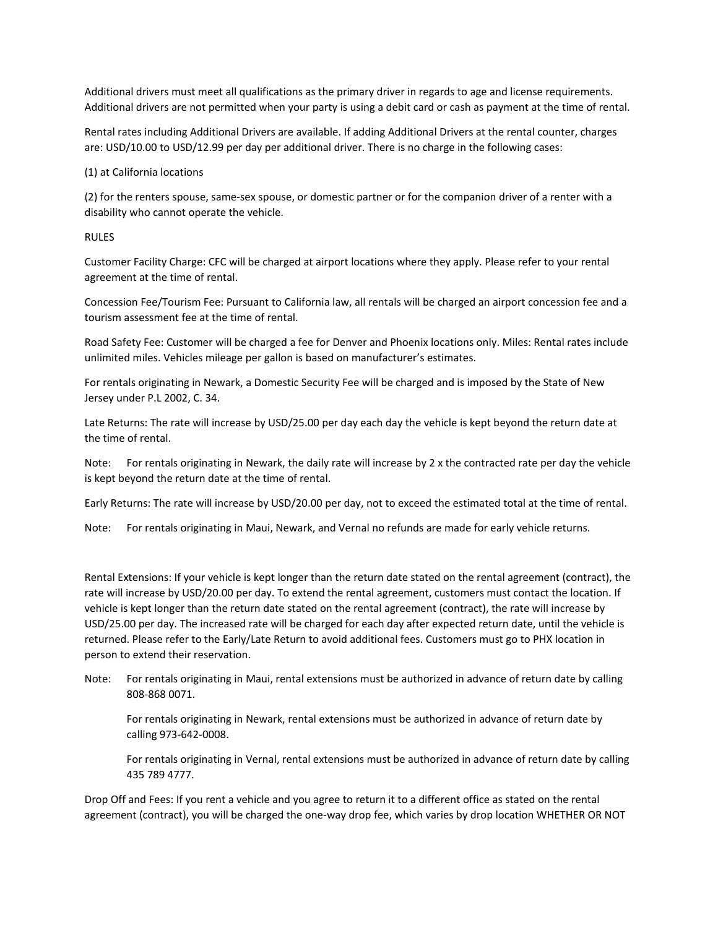Additional drivers must meet all qualifications as the primary driver in regards to age and license requirements. Additional drivers are not permitted when your party is using a debit card or cash as payment at the time of rental.

Rental rates including Additional Drivers are available. If adding Additional Drivers at the rental counter, charges are: USD/10.00 to USD/12.99 per day per additional driver. There is no charge in the following cases:

### (1) at California locations

(2) for the renters spouse, same-sex spouse, or domestic partner or for the companion driver of a renter with a disability who cannot operate the vehicle.

#### RULES

Customer Facility Charge: CFC will be charged at airport locations where they apply. Please refer to your rental agreement at the time of rental.

Concession Fee/Tourism Fee: Pursuant to California law, all rentals will be charged an airport concession fee and a tourism assessment fee at the time of rental.

Road Safety Fee: Customer will be charged a fee for Denver and Phoenix locations only. Miles: Rental rates include unlimited miles. Vehicles mileage per gallon is based on manufacturer's estimates.

For rentals originating in Newark, a Domestic Security Fee will be charged and is imposed by the State of New Jersey under P.L 2002, C. 34.

Late Returns: The rate will increase by USD/25.00 per day each day the vehicle is kept beyond the return date at the time of rental.

Note: For rentals originating in Newark, the daily rate will increase by 2 x the contracted rate per day the vehicle is kept beyond the return date at the time of rental.

Early Returns: The rate will increase by USD/20.00 per day, not to exceed the estimated total at the time of rental.

Note: For rentals originating in Maui, Newark, and Vernal no refunds are made for early vehicle returns.

Rental Extensions: If your vehicle is kept longer than the return date stated on the rental agreement (contract), the rate will increase by USD/20.00 per day. To extend the rental agreement, customers must contact the location. If vehicle is kept longer than the return date stated on the rental agreement (contract), the rate will increase by USD/25.00 per day. The increased rate will be charged for each day after expected return date, until the vehicle is returned. Please refer to the Early/Late Return to avoid additional fees. Customers must go to PHX location in person to extend their reservation.

Note: For rentals originating in Maui, rental extensions must be authorized in advance of return date by calling 808-868 0071.

For rentals originating in Newark, rental extensions must be authorized in advance of return date by calling 973-642-0008.

For rentals originating in Vernal, rental extensions must be authorized in advance of return date by calling 435 789 4777.

Drop Off and Fees: If you rent a vehicle and you agree to return it to a different office as stated on the rental agreement (contract), you will be charged the one-way drop fee, which varies by drop location WHETHER OR NOT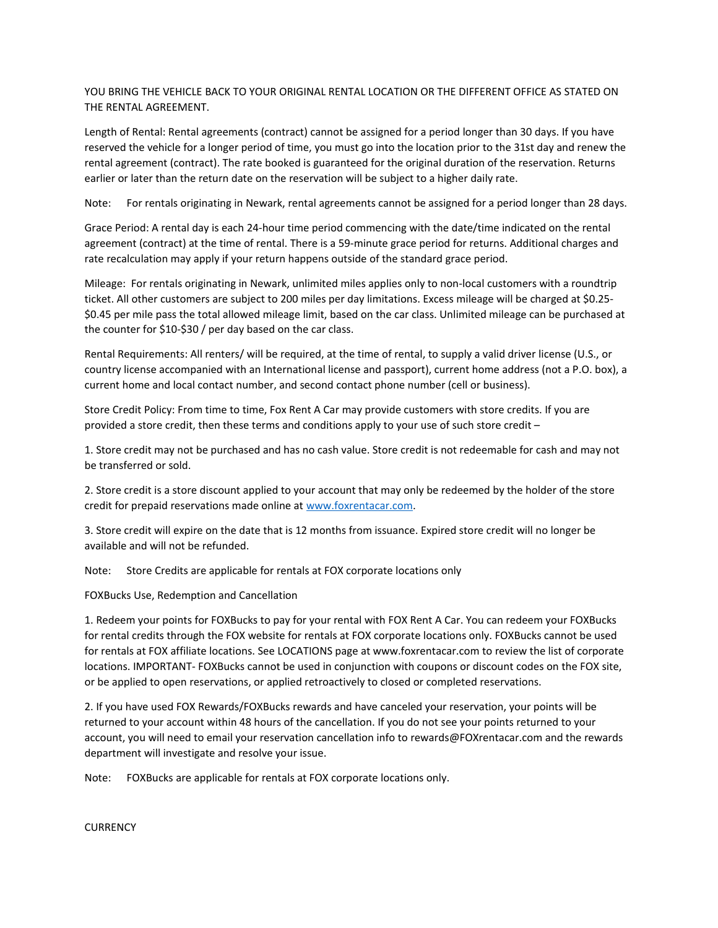YOU BRING THE VEHICLE BACK TO YOUR ORIGINAL RENTAL LOCATION OR THE DIFFERENT OFFICE AS STATED ON THE RENTAL AGREEMENT.

Length of Rental: Rental agreements (contract) cannot be assigned for a period longer than 30 days. If you have reserved the vehicle for a longer period of time, you must go into the location prior to the 31st day and renew the rental agreement (contract). The rate booked is guaranteed for the original duration of the reservation. Returns earlier or later than the return date on the reservation will be subject to a higher daily rate.

Note: For rentals originating in Newark, rental agreements cannot be assigned for a period longer than 28 days.

Grace Period: A rental day is each 24-hour time period commencing with the date/time indicated on the rental agreement (contract) at the time of rental. There is a 59-minute grace period for returns. Additional charges and rate recalculation may apply if your return happens outside of the standard grace period.

Mileage: For rentals originating in Newark, unlimited miles applies only to non-local customers with a roundtrip ticket. All other customers are subject to 200 miles per day limitations. Excess mileage will be charged at \$0.25- \$0.45 per mile pass the total allowed mileage limit, based on the car class. Unlimited mileage can be purchased at the counter for \$10-\$30 / per day based on the car class.

Rental Requirements: All renters/ will be required, at the time of rental, to supply a valid driver license (U.S., or country license accompanied with an International license and passport), current home address (not a P.O. box), a current home and local contact number, and second contact phone number (cell or business).

Store Credit Policy: From time to time, Fox Rent A Car may provide customers with store credits. If you are provided a store credit, then these terms and conditions apply to your use of such store credit –

1. Store credit may not be purchased and has no cash value. Store credit is not redeemable for cash and may not be transferred or sold.

2. Store credit is a store discount applied to your account that may only be redeemed by the holder of the store credit for prepaid reservations made online at [www.foxrentacar.com.](http://www.foxrentacar.com/)

3. Store credit will expire on the date that is 12 months from issuance. Expired store credit will no longer be available and will not be refunded.

Note: Store Credits are applicable for rentals at FOX corporate locations only

FOXBucks Use, Redemption and Cancellation

1. Redeem your points for FOXBucks to pay for your rental with FOX Rent A Car. You can redeem your FOXBucks for rental credits through the FOX website for rentals at FOX corporate locations only. FOXBucks cannot be used for rentals at FOX affiliate locations. See LOCATIONS page at www.foxrentacar.com to review the list of corporate locations. IMPORTANT- FOXBucks cannot be used in conjunction with coupons or discount codes on the FOX site, or be applied to open reservations, or applied retroactively to closed or completed reservations.

2. If you have used FOX Rewards/FOXBucks rewards and have canceled your reservation, your points will be returned to your account within 48 hours of the cancellation. If you do not see your points returned to your account, you will need to email your reservation cancellation info to rewards@FOXrentacar.com and the rewards department will investigate and resolve your issue.

Note: FOXBucks are applicable for rentals at FOX corporate locations only.

**CURRENCY**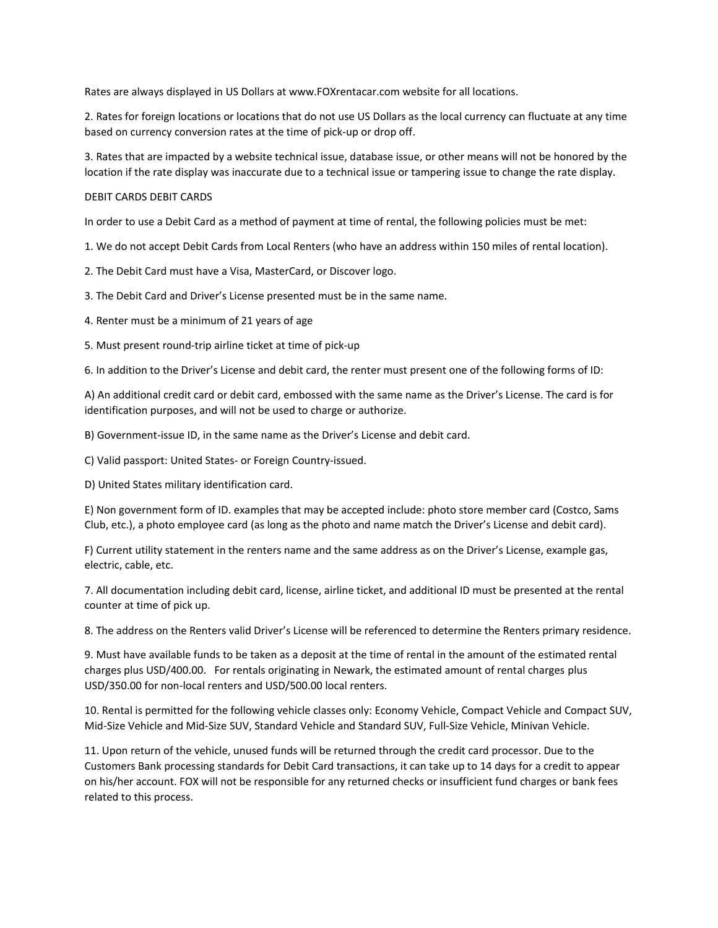Rates are always displayed in US Dollars at www.FOXrentacar.com website for all locations.

2. Rates for foreign locations or locations that do not use US Dollars as the local currency can fluctuate at any time based on currency conversion rates at the time of pick-up or drop off.

3. Rates that are impacted by a website technical issue, database issue, or other means will not be honored by the location if the rate display was inaccurate due to a technical issue or tampering issue to change the rate display.

## DEBIT CARDS DEBIT CARDS

In order to use a Debit Card as a method of payment at time of rental, the following policies must be met:

1. We do not accept Debit Cards from Local Renters (who have an address within 150 miles of rental location).

2. The Debit Card must have a Visa, MasterCard, or Discover logo.

3. The Debit Card and Driver's License presented must be in the same name.

4. Renter must be a minimum of 21 years of age

5. Must present round-trip airline ticket at time of pick-up

6. In addition to the Driver's License and debit card, the renter must present one of the following forms of ID:

A) An additional credit card or debit card, embossed with the same name as the Driver's License. The card is for identification purposes, and will not be used to charge or authorize.

B) Government-issue ID, in the same name as the Driver's License and debit card.

C) Valid passport: United States- or Foreign Country-issued.

D) United States military identification card.

E) Non government form of ID. examples that may be accepted include: photo store member card (Costco, Sams Club, etc.), a photo employee card (as long as the photo and name match the Driver's License and debit card).

F) Current utility statement in the renters name and the same address as on the Driver's License, example gas, electric, cable, etc.

7. All documentation including debit card, license, airline ticket, and additional ID must be presented at the rental counter at time of pick up.

8. The address on the Renters valid Driver's License will be referenced to determine the Renters primary residence.

9. Must have available funds to be taken as a deposit at the time of rental in the amount of the estimated rental charges plus USD/400.00. For rentals originating in Newark, the estimated amount of rental charges plus USD/350.00 for non-local renters and USD/500.00 local renters.

10. Rental is permitted for the following vehicle classes only: Economy Vehicle, Compact Vehicle and Compact SUV, Mid-Size Vehicle and Mid-Size SUV, Standard Vehicle and Standard SUV, Full-Size Vehicle, Minivan Vehicle.

11. Upon return of the vehicle, unused funds will be returned through the credit card processor. Due to the Customers Bank processing standards for Debit Card transactions, it can take up to 14 days for a credit to appear on his/her account. FOX will not be responsible for any returned checks or insufficient fund charges or bank fees related to this process.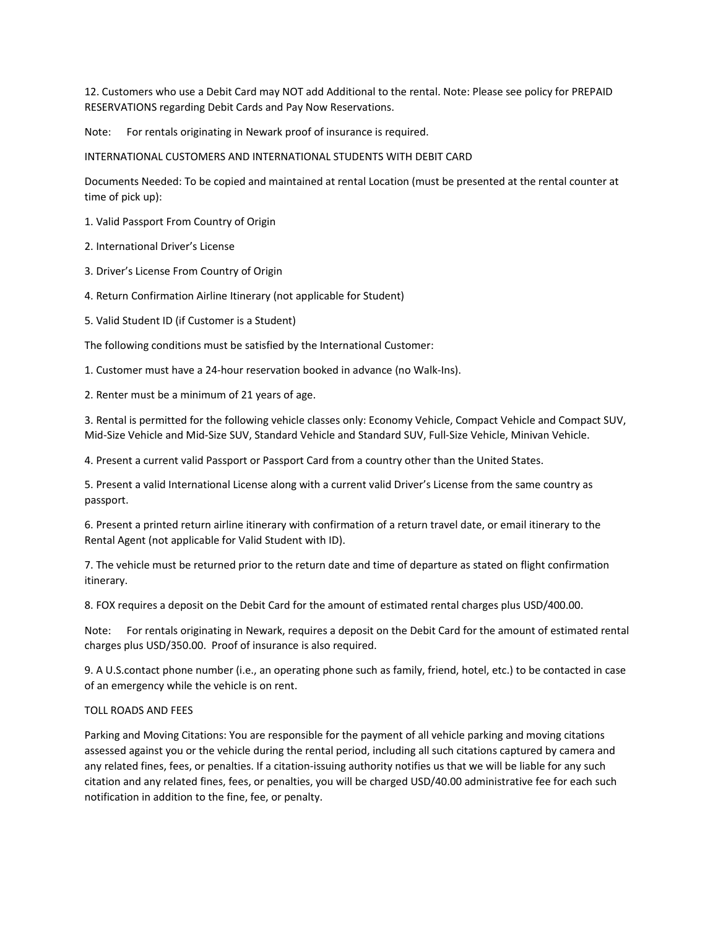12. Customers who use a Debit Card may NOT add Additional to the rental. Note: Please see policy for PREPAID RESERVATIONS regarding Debit Cards and Pay Now Reservations.

Note: For rentals originating in Newark proof of insurance is required.

INTERNATIONAL CUSTOMERS AND INTERNATIONAL STUDENTS WITH DEBIT CARD

Documents Needed: To be copied and maintained at rental Location (must be presented at the rental counter at time of pick up):

- 1. Valid Passport From Country of Origin
- 2. International Driver's License
- 3. Driver's License From Country of Origin
- 4. Return Confirmation Airline Itinerary (not applicable for Student)
- 5. Valid Student ID (if Customer is a Student)

The following conditions must be satisfied by the International Customer:

1. Customer must have a 24-hour reservation booked in advance (no Walk-Ins).

2. Renter must be a minimum of 21 years of age.

3. Rental is permitted for the following vehicle classes only: Economy Vehicle, Compact Vehicle and Compact SUV, Mid-Size Vehicle and Mid-Size SUV, Standard Vehicle and Standard SUV, Full-Size Vehicle, Minivan Vehicle.

4. Present a current valid Passport or Passport Card from a country other than the United States.

5. Present a valid International License along with a current valid Driver's License from the same country as passport.

6. Present a printed return airline itinerary with confirmation of a return travel date, or email itinerary to the Rental Agent (not applicable for Valid Student with ID).

7. The vehicle must be returned prior to the return date and time of departure as stated on flight confirmation itinerary.

8. FOX requires a deposit on the Debit Card for the amount of estimated rental charges plus USD/400.00.

Note: For rentals originating in Newark, requires a deposit on the Debit Card for the amount of estimated rental charges plus USD/350.00. Proof of insurance is also required.

9. A U.S.contact phone number (i.e., an operating phone such as family, friend, hotel, etc.) to be contacted in case of an emergency while the vehicle is on rent.

## TOLL ROADS AND FEES

Parking and Moving Citations: You are responsible for the payment of all vehicle parking and moving citations assessed against you or the vehicle during the rental period, including all such citations captured by camera and any related fines, fees, or penalties. If a citation-issuing authority notifies us that we will be liable for any such citation and any related fines, fees, or penalties, you will be charged USD/40.00 administrative fee for each such notification in addition to the fine, fee, or penalty.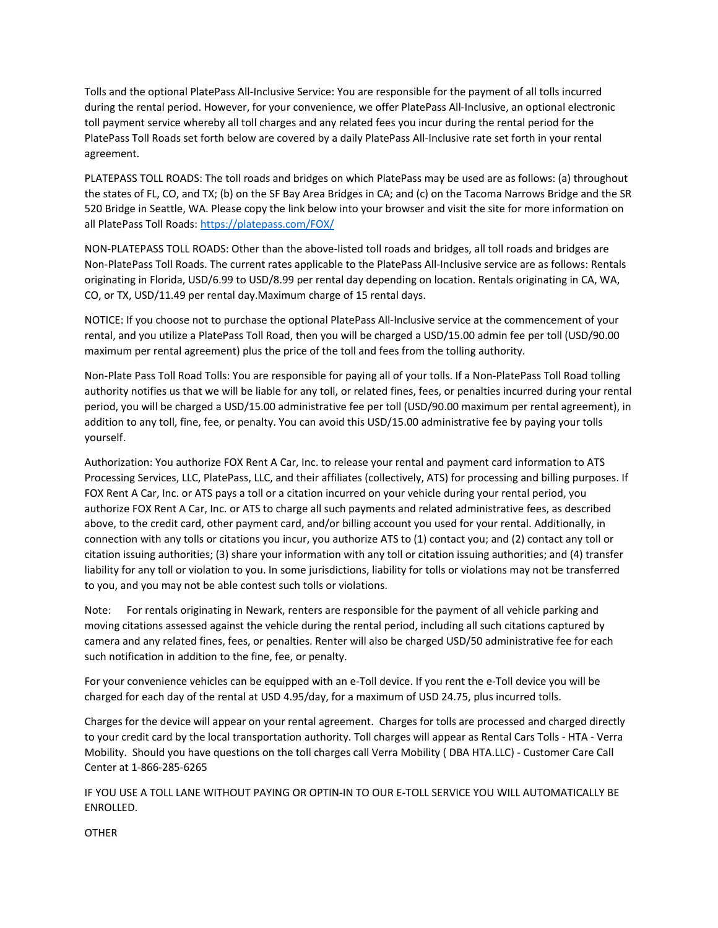Tolls and the optional PlatePass All-Inclusive Service: You are responsible for the payment of all tolls incurred during the rental period. However, for your convenience, we offer PlatePass All-Inclusive, an optional electronic toll payment service whereby all toll charges and any related fees you incur during the rental period for the PlatePass Toll Roads set forth below are covered by a daily PlatePass All-Inclusive rate set forth in your rental agreement.

PLATEPASS TOLL ROADS: The toll roads and bridges on which PlatePass may be used are as follows: (a) throughout the states of FL, CO, and TX; (b) on the SF Bay Area Bridges in CA; and (c) on the Tacoma Narrows Bridge and the SR 520 Bridge in Seattle, WA. Please copy the link below into your browser and visit the site for more information on all PlatePass Toll Roads:<https://platepass.com/FOX/>

NON-PLATEPASS TOLL ROADS: Other than the above-listed toll roads and bridges, all toll roads and bridges are Non-PlatePass Toll Roads. The current rates applicable to the PlatePass All-Inclusive service are as follows: Rentals originating in Florida, USD/6.99 to USD/8.99 per rental day depending on location. Rentals originating in CA, WA, CO, or TX, USD/11.49 per rental day.Maximum charge of 15 rental days.

NOTICE: If you choose not to purchase the optional PlatePass All-Inclusive service at the commencement of your rental, and you utilize a PlatePass Toll Road, then you will be charged a USD/15.00 admin fee per toll (USD/90.00 maximum per rental agreement) plus the price of the toll and fees from the tolling authority.

Non-Plate Pass Toll Road Tolls: You are responsible for paying all of your tolls. If a Non-PlatePass Toll Road tolling authority notifies us that we will be liable for any toll, or related fines, fees, or penalties incurred during your rental period, you will be charged a USD/15.00 administrative fee per toll (USD/90.00 maximum per rental agreement), in addition to any toll, fine, fee, or penalty. You can avoid this USD/15.00 administrative fee by paying your tolls yourself.

Authorization: You authorize FOX Rent A Car, Inc. to release your rental and payment card information to ATS Processing Services, LLC, PlatePass, LLC, and their affiliates (collectively, ATS) for processing and billing purposes. If FOX Rent A Car, Inc. or ATS pays a toll or a citation incurred on your vehicle during your rental period, you authorize FOX Rent A Car, Inc. or ATS to charge all such payments and related administrative fees, as described above, to the credit card, other payment card, and/or billing account you used for your rental. Additionally, in connection with any tolls or citations you incur, you authorize ATS to (1) contact you; and (2) contact any toll or citation issuing authorities; (3) share your information with any toll or citation issuing authorities; and (4) transfer liability for any toll or violation to you. In some jurisdictions, liability for tolls or violations may not be transferred to you, and you may not be able contest such tolls or violations.

Note: For rentals originating in Newark, renters are responsible for the payment of all vehicle parking and moving citations assessed against the vehicle during the rental period, including all such citations captured by camera and any related fines, fees, or penalties. Renter will also be charged USD/50 administrative fee for each such notification in addition to the fine, fee, or penalty.

For your convenience vehicles can be equipped with an e-Toll device. If you rent the e-Toll device you will be charged for each day of the rental at USD 4.95/day, for a maximum of USD 24.75, plus incurred tolls.

Charges for the device will appear on your rental agreement. Charges for tolls are processed and charged directly to your credit card by the local transportation authority. Toll charges will appear as Rental Cars Tolls - HTA - Verra Mobility. Should you have questions on the toll charges call Verra Mobility ( DBA HTA.LLC) - Customer Care Call Center at 1-866-285-6265

IF YOU USE A TOLL LANE WITHOUT PAYING OR OPTIN-IN TO OUR E-TOLL SERVICE YOU WILL AUTOMATICALLY BE ENROLLED.

**OTHER**